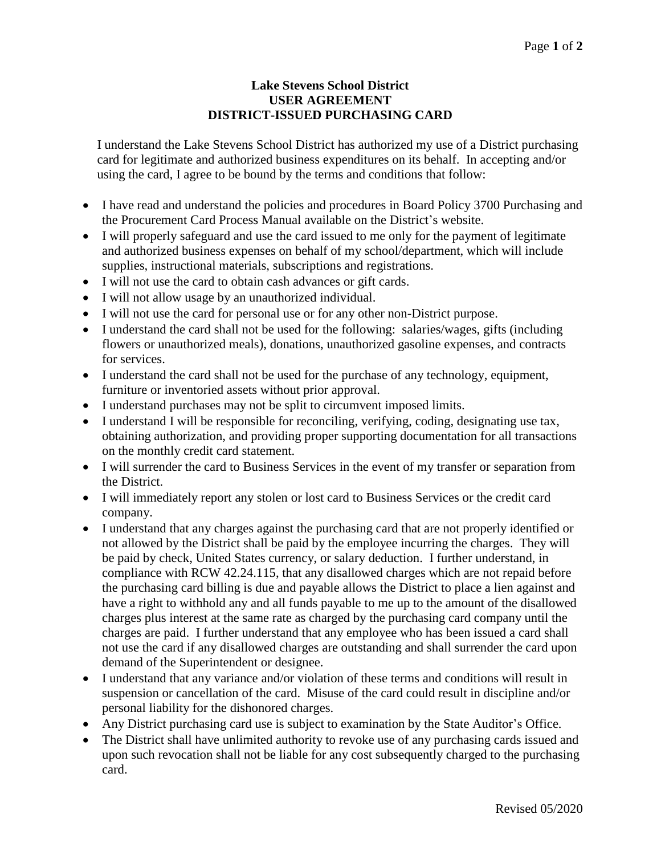## **Lake Stevens School District USER AGREEMENT DISTRICT-ISSUED PURCHASING CARD**

I understand the Lake Stevens School District has authorized my use of a District purchasing card for legitimate and authorized business expenditures on its behalf. In accepting and/or using the card, I agree to be bound by the terms and conditions that follow:

- I have read and understand the policies and procedures in Board Policy 3700 Purchasing and the Procurement Card Process Manual available on the District's website.
- I will properly safeguard and use the card issued to me only for the payment of legitimate and authorized business expenses on behalf of my school/department, which will include supplies, instructional materials, subscriptions and registrations.
- I will not use the card to obtain cash advances or gift cards.
- I will not allow usage by an unauthorized individual.
- I will not use the card for personal use or for any other non-District purpose.
- I understand the card shall not be used for the following: salaries/wages, gifts (including flowers or unauthorized meals), donations, unauthorized gasoline expenses, and contracts for services.
- I understand the card shall not be used for the purchase of any technology, equipment, furniture or inventoried assets without prior approval.
- I understand purchases may not be split to circumvent imposed limits.
- I understand I will be responsible for reconciling, verifying, coding, designating use tax, obtaining authorization, and providing proper supporting documentation for all transactions on the monthly credit card statement.
- I will surrender the card to Business Services in the event of my transfer or separation from the District.
- I will immediately report any stolen or lost card to Business Services or the credit card company.
- I understand that any charges against the purchasing card that are not properly identified or not allowed by the District shall be paid by the employee incurring the charges. They will be paid by check, United States currency, or salary deduction. I further understand, in compliance with RCW 42.24.115, that any disallowed charges which are not repaid before the purchasing card billing is due and payable allows the District to place a lien against and have a right to withhold any and all funds payable to me up to the amount of the disallowed charges plus interest at the same rate as charged by the purchasing card company until the charges are paid. I further understand that any employee who has been issued a card shall not use the card if any disallowed charges are outstanding and shall surrender the card upon demand of the Superintendent or designee.
- I understand that any variance and/or violation of these terms and conditions will result in suspension or cancellation of the card. Misuse of the card could result in discipline and/or personal liability for the dishonored charges.
- Any District purchasing card use is subject to examination by the State Auditor's Office.
- The District shall have unlimited authority to revoke use of any purchasing cards issued and upon such revocation shall not be liable for any cost subsequently charged to the purchasing card.